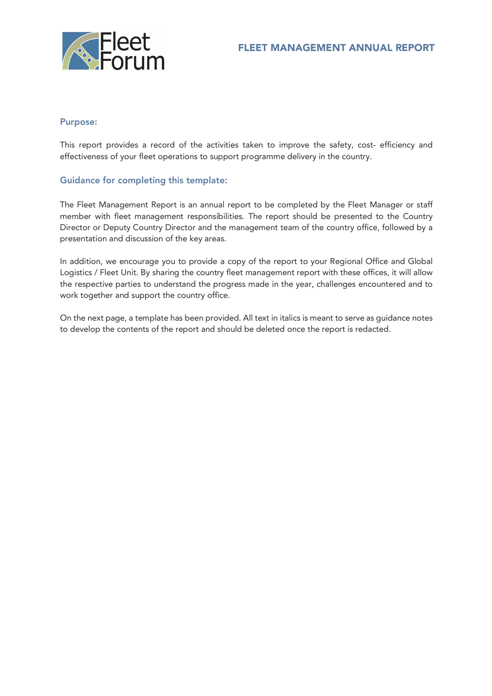

# Purpose:

This report provides a record of the activities taken to improve the safety, cost- efficiency and effectiveness of your fleet operations to support programme delivery in the country.

# Guidance for completing this template:

The Fleet Management Report is an annual report to be completed by the Fleet Manager or staff member with fleet management responsibilities. The report should be presented to the Country Director or Deputy Country Director and the management team of the country office, followed by a presentation and discussion of the key areas.

In addition, we encourage you to provide a copy of the report to your Regional Office and Global Logistics / Fleet Unit. By sharing the country fleet management report with these offices, it will allow the respective parties to understand the progress made in the year, challenges encountered and to work together and support the country office.

On the next page, a template has been provided. All text in italics is meant to serve as guidance notes to develop the contents of the report and should be deleted once the report is redacted.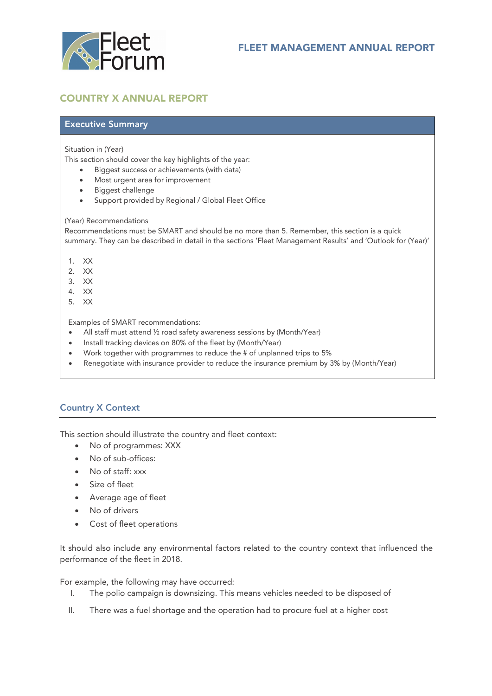

# COUNTRY X ANNUAL REPORT

# Executive Summary

#### Situation in (Year)

This section should cover the key highlights of the year:

- Biggest success or achievements (with data)
- Most urgent area for improvement
- Biggest challenge
- Support provided by Regional / Global Fleet Office

#### (Year) Recommendations

Recommendations must be SMART and should be no more than 5. Remember, this section is a quick summary. They can be described in detail in the sections 'Fleet Management Results' and 'Outlook for (Year)'

- 1. XX
- 2. XX
- 3. XX
- 4. XX
- 5. XX

Examples of SMART recommendations:

- All staff must attend ½ road safety awareness sessions by (Month/Year)
- Install tracking devices on 80% of the fleet by (Month/Year)
- Work together with programmes to reduce the # of unplanned trips to 5%
- Renegotiate with insurance provider to reduce the insurance premium by 3% by (Month/Year)

### Country X Context

This section should illustrate the country and fleet context:

- No of programmes: XXX
- No of sub-offices:
- No of staff: xxx
- Size of fleet
- Average age of fleet
- No of drivers
- Cost of fleet operations

It should also include any environmental factors related to the country context that influenced the performance of the fleet in 2018.

For example, the following may have occurred:

- I. The polio campaign is downsizing. This means vehicles needed to be disposed of
- II. There was a fuel shortage and the operation had to procure fuel at a higher cost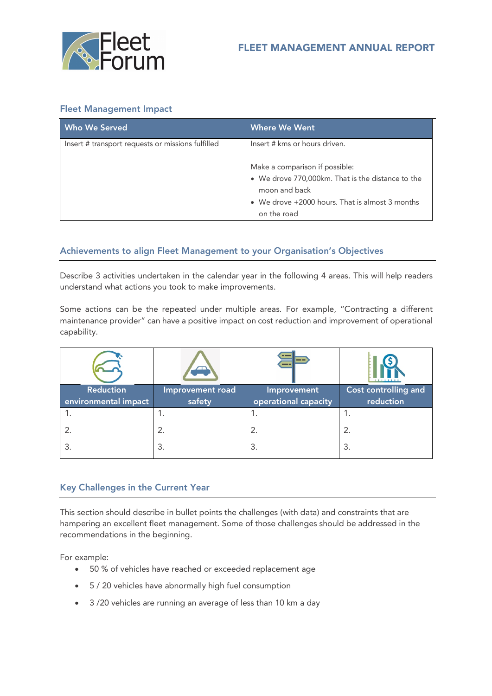

# Fleet Management Impact

| <b>Who We Served</b>                              | <b>Where We Went</b>                                                                                                                                                   |
|---------------------------------------------------|------------------------------------------------------------------------------------------------------------------------------------------------------------------------|
| Insert # transport requests or missions fulfilled | Insert # kms or hours driven.                                                                                                                                          |
|                                                   | Make a comparison if possible:<br>• We drove 770,000km. That is the distance to the<br>moon and back<br>• We drove +2000 hours. That is almost 3 months<br>on the road |

# Achievements to align Fleet Management to your Organisation's Objectives

Describe 3 activities undertaken in the calendar year in the following 4 areas. This will help readers understand what actions you took to make improvements.

Some actions can be the repeated under multiple areas. For example, "Contracting a different maintenance provider" can have a positive impact on cost reduction and improvement of operational capability.

|                      | $\overline{\phantom{0}}$ | --                   | 111111111            |
|----------------------|--------------------------|----------------------|----------------------|
| <b>Reduction</b>     | Improvement road         | Improvement          | Cost controlling and |
| environmental impact | safety                   | operational capacity | reduction            |
|                      | ۱.                       |                      | ۱.                   |
|                      | 2.                       | 2.                   | 2.                   |
|                      | 3.                       | З.                   | 3.                   |

### Key Challenges in the Current Year

This section should describe in bullet points the challenges (with data) and constraints that are hampering an excellent fleet management. Some of those challenges should be addressed in the recommendations in the beginning.

For example:

- 50 % of vehicles have reached or exceeded replacement age
- 5 / 20 vehicles have abnormally high fuel consumption
- 3 /20 vehicles are running an average of less than 10 km a day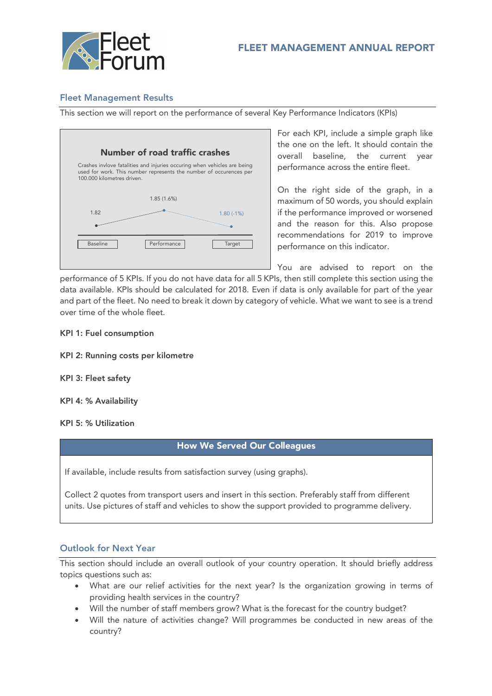

### Fleet Management Results

This section we will report on the performance of several Key Performance Indicators (KPIs)



For each KPI, include a simple graph like the one on the left. It should contain the overall baseline, the current year performance across the entire fleet.

On the right side of the graph, in a maximum of 50 words, you should explain if the performance improved or worsened and the reason for this. Also propose recommendations for 2019 to improve performance on this indicator.

You are advised to report on the

performance of 5 KPIs. If you do not have data for all 5 KPIs, then still complete this section using the data available. KPIs should be calculated for 2018. Even if data is only available for part of the year and part of the fleet. No need to break it down by category of vehicle. What we want to see is a trend over time of the whole fleet.

#### KPI 1: Fuel consumption

- KPI 2: Running costs per kilometre
- KPI 3: Fleet safety
- KPI 4: % Availability

KPI 5: % Utilization

### How We Served Our Colleagues

If available, include results from satisfaction survey (using graphs).

Collect 2 quotes from transport users and insert in this section. Preferably staff from different units. Use pictures of staff and vehicles to show the support provided to programme delivery.

#### Outlook for Next Year

This section should include an overall outlook of your country operation. It should briefly address topics questions such as:

- What are our relief activities for the next year? Is the organization growing in terms of providing health services in the country?
- Will the number of staff members grow? What is the forecast for the country budget?
- Will the nature of activities change? Will programmes be conducted in new areas of the country?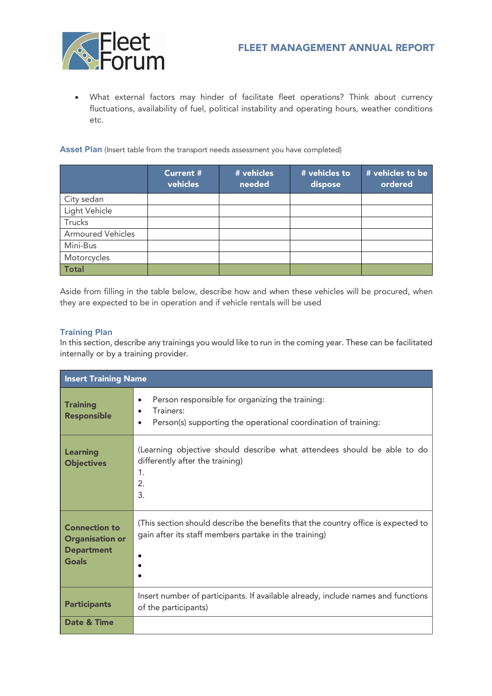

• What external factors may hinder of facilitate fleet operations? Think about currency fluctuations, availability of fuel, political instability and operating hours, weather conditions etc.

Asset Plan (Insert table from the transport needs assessment you have completed)

|                          | <b>Current #</b><br>vehicles | # vehicles<br>needed | # vehicles to<br>dispose | # vehicles to be<br>ordered |
|--------------------------|------------------------------|----------------------|--------------------------|-----------------------------|
| City sedan               |                              |                      |                          |                             |
| Light Vehicle            |                              |                      |                          |                             |
| Trucks                   |                              |                      |                          |                             |
| <b>Armoured Vehicles</b> |                              |                      |                          |                             |
| Mini-Bus                 |                              |                      |                          |                             |
| Motorcycles              |                              |                      |                          |                             |
| <b>Total</b>             |                              |                      |                          |                             |

Aside from filling in the table below, describe how and when these vehicles will be procured, when they are expected to be in operation and if vehicle rentals will be used

#### **Training Plan**

In this section, describe any trainings you would like to run in the coming year. These can be facilitated internally or by a training provider.

| <b>Insert Training Name</b>                                                  |                                                                                                                                             |  |  |
|------------------------------------------------------------------------------|---------------------------------------------------------------------------------------------------------------------------------------------|--|--|
| <b>Training</b><br><b>Responsible</b>                                        | Person responsible for organizing the training:<br>$\bullet$<br>Trainers:<br>Person(s) supporting the operational coordination of training: |  |  |
| <b>Learning</b><br><b>Objectives</b>                                         | (Learning objective should describe what attendees should be able to do<br>differently after the training)<br>1.<br>2.<br>3.                |  |  |
| <b>Connection to</b><br><b>Organisation or</b><br><b>Department</b><br>Goals | (This section should describe the benefits that the country office is expected to<br>gain after its staff members partake in the training)  |  |  |
| <b>Participants</b>                                                          | Insert number of participants. If available already, include names and functions<br>of the participants)                                    |  |  |
| Date & Time                                                                  |                                                                                                                                             |  |  |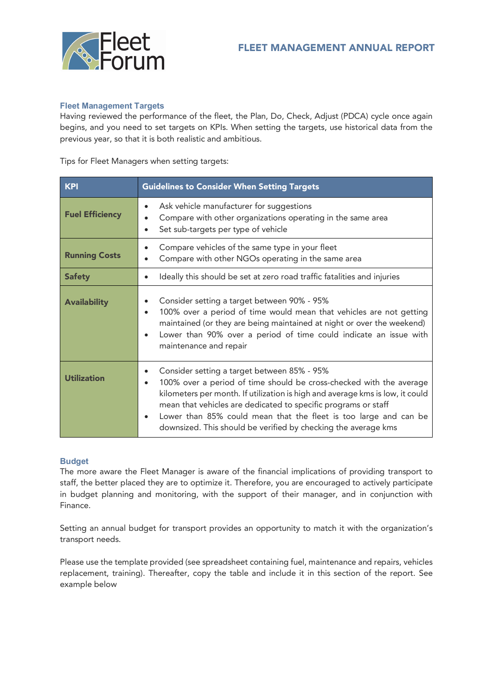

#### **Fleet Management Targets**

Having reviewed the performance of the fleet, the Plan, Do, Check, Adjust (PDCA) cycle once again begins, and you need to set targets on KPIs. When setting the targets, use historical data from the previous year, so that it is both realistic and ambitious.

#### Tips for Fleet Managers when setting targets:

| <b>KPI</b>             | <b>Guidelines to Consider When Setting Targets</b>                                                                                                                                                                                                                                                                                                                                                                       |  |  |  |
|------------------------|--------------------------------------------------------------------------------------------------------------------------------------------------------------------------------------------------------------------------------------------------------------------------------------------------------------------------------------------------------------------------------------------------------------------------|--|--|--|
| <b>Fuel Efficiency</b> | Ask vehicle manufacturer for suggestions<br>$\bullet$<br>Compare with other organizations operating in the same area<br>Set sub-targets per type of vehicle<br>$\bullet$                                                                                                                                                                                                                                                 |  |  |  |
| <b>Running Costs</b>   | Compare vehicles of the same type in your fleet<br>Compare with other NGOs operating in the same area                                                                                                                                                                                                                                                                                                                    |  |  |  |
| <b>Safety</b>          | Ideally this should be set at zero road traffic fatalities and injuries<br>$\bullet$                                                                                                                                                                                                                                                                                                                                     |  |  |  |
| <b>Availability</b>    | Consider setting a target between 90% - 95%<br>100% over a period of time would mean that vehicles are not getting<br>$\bullet$<br>maintained (or they are being maintained at night or over the weekend)<br>Lower than 90% over a period of time could indicate an issue with<br>maintenance and repair                                                                                                                 |  |  |  |
| <b>Utilization</b>     | Consider setting a target between 85% - 95%<br>100% over a period of time should be cross-checked with the average<br>kilometers per month. If utilization is high and average kms is low, it could<br>mean that vehicles are dedicated to specific programs or staff<br>Lower than 85% could mean that the fleet is too large and can be<br>$\bullet$<br>downsized. This should be verified by checking the average kms |  |  |  |

#### **Budget**

The more aware the Fleet Manager is aware of the financial implications of providing transport to staff, the better placed they are to optimize it. Therefore, you are encouraged to actively participate in budget planning and monitoring, with the support of their manager, and in conjunction with Finance.

Setting an annual budget for transport provides an opportunity to match it with the organization's transport needs.

Please use the template provided (see spreadsheet containing fuel, maintenance and repairs, vehicles replacement, training). Thereafter, copy the table and include it in this section of the report. See example below